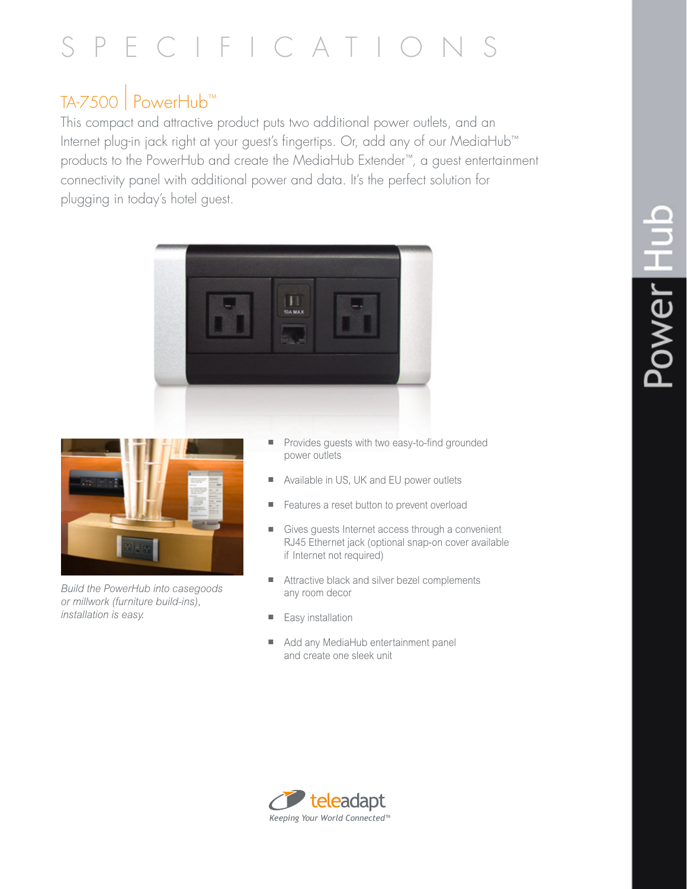# SPECIFICATION

### TA-7500 | PowerHub™

This compact and attractive product puts two additional power outlets, and an Internet plug-in jack right at your guest's fingertips. Or, add any of our MediaHub™ products to the PowerHub and create the MediaHub Extender™, a guest entertainment connectivity panel with additional power and data. It's the perfect solution for plugging in today's hotel guest.





*Build the PowerHub into casegoods or millwork (furniture build-ins), installation is easy.*

- **Provides guests with two easy-to-find grounded** power outlets
- Available in US, UK and EU power outlets
- Features a reset button to prevent overload
- Gives guests Internet access through a convenient RJ45 Ethernet jack (optional snap-on cover available if Internet not required)
- Attractive black and silver bezel complements any room decor
- **Easy installation**
- Add any MediaHub entertainment panel and create one sleek unit